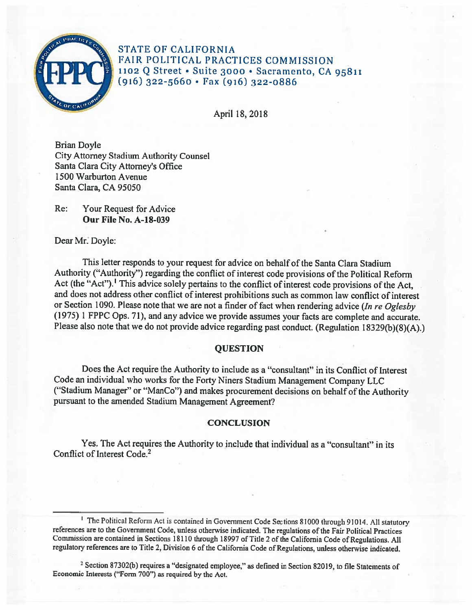

STATE OF CALIFORNIA FAIR POLITICAL PRACTICES COMMISSION 1102 Q Street• Suite 3000 • Sacramento, CA 95811 (916) 322-5660 • Fax (916) 322-0886

April 18, 2018

Brian Doyle City Attorney Stadium Authority Counsel Santa Clara City Attorney's Office 1500 Warburton A venue Santa Clara, CA 95050

Re: Your Request for Advice **Our File No. A-18-039** 

Dear Mr. Doyle:

This letter responds to your request for advice on behalf of the Santa Clara Stadium Authority ("Authority") regarding the conflict of interest code provisions of the Political Reform Act (the "Act"). <sup>1</sup>This advice solely pertains to the conflict of interest code provisions of the Act, and does not address other conflict of interest prohibitions such as common law conflict of interest or Section 1090. Please note that we are not a finder of fact when rendering advice *(In re Oglesby*  (1975) 1 FPPC Ops. 71), and any advice we provide assumes your facts are complete and accurate. Please also note that we do not provide advice regarding past conduct. (Regulation 18329(b)(8)(A).)

## **QUESTION**

Does the Act require the Authority to include as a "consultant" in its Conflict of Interest Code an individual who works for the Forty Niners Stadium Management Company LLC ("Stadium Manager" or "ManCo") and makes procurement decisions on behalf of the Authority pursuant to the amended Stadium Management Agreement?

## **CONCLUSION**

Yes. The Act requires the Authority to include that individual as a "consultant" in its Conflict of Interest Code.<sup>2</sup>

<sup>1</sup> The Political Reform Act is contained in Government Code Sections 81000 through 91014. All statutory references are to the Government Code, unless otherwise indicated. The regulations of the Fair Political Practices Commission are contained in Sections 18110 through 18997 of Title 2 of the California Code of Regulations. All regulatory references are to Title 2, Division 6 of the California Code of Regulations, unless otherwise indicated.

<sup>2</sup> Section 87302(b) requires a "designated employee," as defined in Section 82019, to file Statements of Economic Interests ("Form 700") as required by the Act.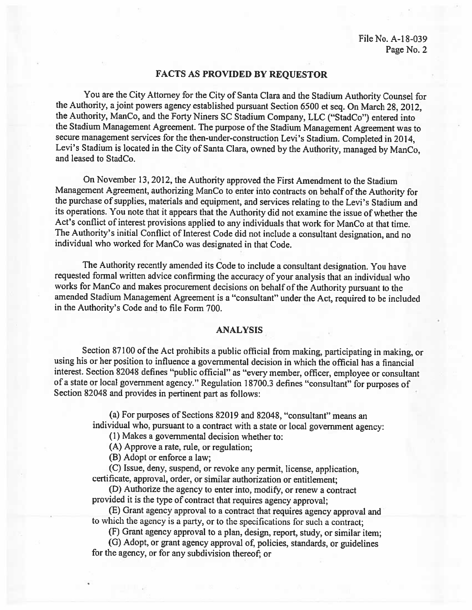## **FACTS AS PROVIDED BY REQUESTOR**

You are the City Attorney for the City of Santa Clara and the Stadium Authority Counsel for the Authority, a joint powers agency established pursuant Section 6500 et seq. On March 28, 2012, the Authority, ManCo, and the Forty Niners SC Stadium Company, LLC ("StadCo") entered into the Stadium Management Agreement. The purpose of the Stadium Management Agreement was to secure management services for the then-under-construction Levi's Stadium. Completed in 2014, Levi's Stadium is located in the City of Santa Clara, owned by the Authority, managed by ManCo, and leased to StadCo.

On November 13, 2012, the Authority approved the First Amendment to the Stadium Management Agreement, authorizing ManCo to enter into contracts on behalf of the Authority for the purchase of supplies, materials and equipment, and services relating to the Levi's Stadium and its operations. You note that it appears that the Authority did not examine the issue of whether the Act's conflict of interest provisions applied to any individuals that work for ManCo at that time. The Authority's initial Conflict of Interest Code did not include a consultant designation, and no individual who worked for Manco was designated in that Code.

The Authority recently amended its Code to include a consultant designation. You have requested fonnal written advice confirming the accuracy of your analysis that an individual who works for ManCo and makes procurement decisions on behalf of the Authority pursuant to the amended Stadium Management Agreement is a "consultant" under the Act, required to be included in the Authority's Code and to file Form 700.

## **ANALYSIS**

Section 87100 of the Act prohibits a public official from making, participating in making, or using his or her position to influence a governmental decision in which the official has a financial interest. Section 82048 defines "public official" as "every member, officer, employee or consultant of a state or local government agency." Regulation 18700.3 defines "consultant" for purposes of Section 82048 and provides in pertinent part as follows:

> (a) For purposes of Sections 82019 and 82048, "consultant" means an individual who, pursuant to a contract with a state or local government agency:

(I) Makes a governmental decision whether to:

(A) Approve a rate, rule, or regulation;

(B) Adopt or enforce a law;

(C) Issue, deny, suspend, or revoke any pennit, license, application, certificate, approval, order, or similar authorization or entitlement;

(D) Authorize the agency to enter into, modify, or renew a contract provided it is the type of contract that requires agency approval;

(E) Grant agency approval to a contract that requires agency approval and to which the agency is a party, or to the specifications for such a contract;

(F) Grant agency approval to a plan, design, report, study, or similar item;

(G) Adopt, or grant agency approval of, policies, standards, or guidelines for the agency, or for any subdivision thereof; or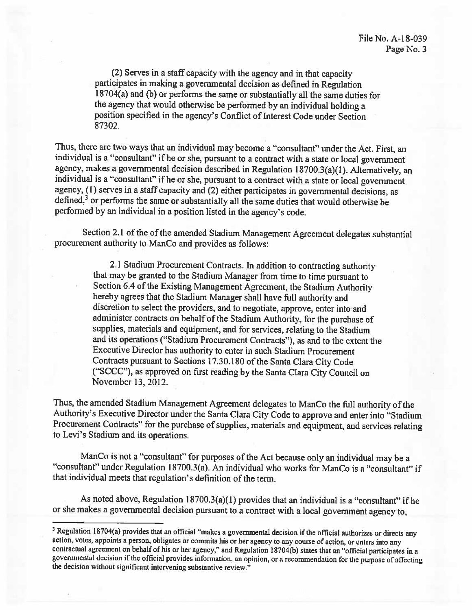(2) Serves in a staff capacity with the agency and in that capacity participates in making a governmental decision as defined in Regulation 18704(a) and (b) or performs the same or substantially all the same duties for the agency that would otherwise be performed by an individual holding a position specified in the agency's Conflict of Interest Code under Section 87302.

Thus, there are two ways that an individual may become a "consultant" under the Act. First, an individual is a "consultant" ifhe or she, pursuant to a contract with a state or local government agency, makes a governmental decision described in Regulation 18700.3(a)(l). Alternatively, an individual is a "consultant" ifhe or she, pursuant to a contract with a state or local government agency, (1) serves in a staff capacity and (2) either participates in governmental decisions, as defined, $3$  or performs the same or substantially all the same duties that would otherwise be performed by an individual in a position listed in the agency's code.

Section 2.1 of the of the amended Stadium Management Agreement delegates substantial procurement authority to ManCo and provides as follows:

> 2.1 Stadium Procurement Contracts. In addition to contracting authority that may be granted to the Stadium Manager from time to time pursuant to Section 6.4 of the Existing Management Agreement, the Stadium Authority hereby agrees that the Stadium Manager shall have full authority and discretion to select the providers, and to negotiate, approve, enter into and administer contracts on behalf of the Stadium Authority, for the purchase of supplies, materials and equipment, and for services, relating to the Stadium and its operations ("Stadium Procurement Contracts"), as and to the extent the Executive Director has authority to enter in such Stadium Procurement Contracts pursuant to Sections 17 .30.180 of the Santa Clara City Code ("SCCC"), as approved on first reading by the Santa Clara City Council on November 13, 2012.

Thus, the amended Stadium Management Agreement delegates to ManCo the full authority of the Authority's Executive Director under the Santa Clara City Code to approve and enter into "Stadium Procurement Contracts" for the purchase of supplies, materials and equipment, and services relating to Levi's Stadium and its operations.

ManCo is not a "consultant" for purposes of the Act because only an individual may be a "consultant" under Regulation 18700.3(a). An individual who works for Manco is a "consultant" if that individual meets that regulation's definition of the term.

As noted above, Regulation  $18700.3(a)(1)$  provides that an individual is a "consultant" if he or she makes a governmental decision pursuant to a contract with a local government agency to,

<sup>&</sup>lt;sup>3</sup> Regulation 18704(a) provides that an official "makes a governmental decision if the official authorizes or directs any action, votes, appoints a person, obligates or commits his or her agency to any course of action, or enters into any contractual agreement on behalf of his or her agency," and Regulation 18704(b) states that an "official participates in a governmental decision if the official provides information, an opinion, or a recommendation for the purpose of affecting the decision without significant intervening substantive review."